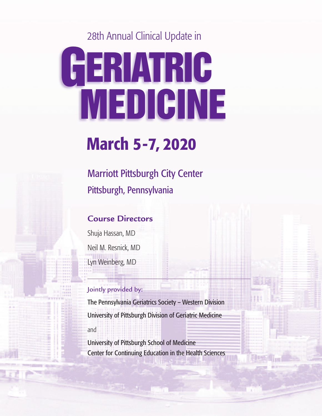28th Annual Clinical Update in

# **GERIATRIC MEDICINE**

## **March 5-7, 2020**

Marriott Pittsburgh City Center Pittsburgh, Pennsylvania

### **Course Directors**

Shuja Hassan, MD Neil M. Resnick, MD Lyn Weinberg, MD

#### Jointly provided by:

The Pennsylvania Geriatrics Society – Western Division University of Pittsburgh Division of Geriatric Medicine and

University of Pittsburgh School of Medicine Center for Continuing Education in the Health Sciences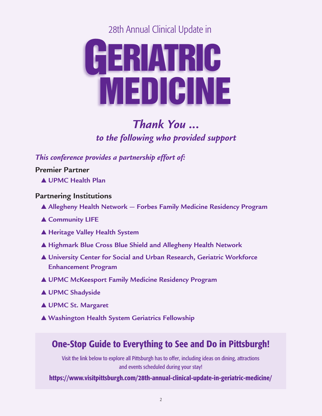28th Annual Clinical Update in



## *Thank You ... to the following who provided support*

*This conference provides a partnership effort of:*

**Premier Partner**

▲ **UPMC Health Plan**

#### **Partnering Institutions**

- ▲ **Allegheny Health Network — Forbes Family Medicine Residency Program**
- ▲ **Community LIFE**
- ▲ **Heritage Valley Health System**
- ▲ **Highmark Blue Cross Blue Shield and Allegheny Health Network**
- ▲ **University Center for Social and Urban Research, Geriatric Workforce Enhancement Program**
- ▲ **UPMC McKeesport Family Medicine Residency Program**
- ▲ **UPMC Shadyside**
- ▲ **UPMC St. Margaret**
- ▲ **Washington Health System Geriatrics Fellowship**

## **One-Stop Guide to Everything to See and Do in Pittsburgh!**

Visit the link below to explore all Pittsburgh has to offer, including ideas on dining, attractions and events scheduled during your stay!

**https://www.visitpittsburgh.com/28th-annual-clinical-update-in-geriatric-medicine/**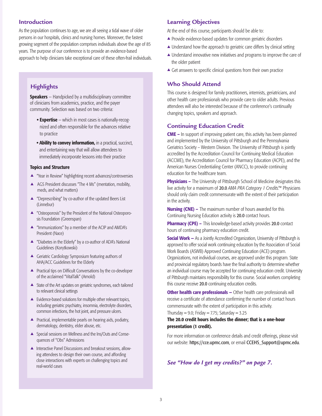#### **Introduction**

As the population continues to age, we are all seeing a tidal wave of older persons in our hospitals, clinics and nursing homes. Moreover, the fastest growing segment of the population comprises individuals above the age of 85 years. The purpose of our conference is to provide an evidence-based approach to help clinicians take exceptional care of these often-frail individuals.

#### **Highlights**

**Speakers** — Handpicked by a multidisciplinary committee of clinicians from academics, practice, and the payer community. Selection was based on two criteria:

- **• Expertise** which in most cases is nationally-recognized and often responsible for the advances relative to practice
- **• Ability to convey information,** in a practical, succinct, and entertaining way that will allow attendees to immediately incorporate lessons into their practice

#### **Topics and Structure**

- ▲ "Year in Review" highlighting recent advances/controversies
- ▲ AGS President discusses "The 4 Ms" (mentation, mobility, meds, and what matters)
- ▲ "Deprescribing" by co-author of the updated Beers List (Linnebur)
- ▲ "Osteoporosis" by the President of the National Osteoporosis Foundation (Greenspan)
- ▲ "Immunizations" by a member of the ACIP and AMDA's President (Nace)
- ▲ "Diabetes in the Elderly" by a co-author of ADA's National Guidelines (Korytkowski)
- ▲ Geriatric Cardiology Symposium featuring authors of AHA/ACC Guidelines for the Elderly
- ▲ Practical tips on Difficult Conversations by the co-developer of the acclaimed "VitalTalk" (Arnold)
- ▲ State of the Art updates on geriatric syndromes, each tailored to relevant clinical settings
- ▲ Evidence-based solutions for multiple other relevant topics, including geriatric psychiatry, insomnia, electrolyte disorders, common infections, the hot joint, and pressure ulcers.
- ▲ Practical, implementable pearls on hearing aids, podiatry, dermatology, dentistry, elder abuse, etc.
- ▲ Special sessions on Wellness and the Ins/Outs and Consequences of "Obs" Admissions
- ▲ Interactive Panel Discussions and breakout sessions, allowing attendees to design their own course, and affording close interactions with experts on challenging topics and real-world cases

#### **Learning Objectives**

At the end of this course, participants should be able to:

- ▲ Provide evidence-based updates for common geriatric disorders
- ▲ Understand how the approach to geriatric care differs by clinical setting
- ▲ Understand innovative new initiatives and programs to improve the care of the older patient
- $\triangle$  Get answers to specific clinical questions from their own practice

#### **Who Should Attend**

This course is designed for family practitioners, internists, geriatricians, and other health care professionals who provide care to older adults. Previous attendees will also be interested because of the conference's continually changing topics, speakers and approach.

#### **Continuing Education Credit**

**CME –** In support of improving patient care, this activity has been planned and implemented by the University of Pittsburgh and the Pennsylvania Geriatrics Society – Western Division. The University of Pittsburgh is jointly accredited by the Accreditation Council for Continuing Medical Education (ACCME), the Accreditation Council for Pharmacy Education (ACPE), and the American Nurses Credentialing Center (ANCC), to provide continuing education for the healthcare team.

**Physicians** – The University of Pittsburgh School of Medicine designates this live activity for a maximum of 20.0 *AMA PRA Category 1 Credits.™* Physicians should only claim credit commensurate with the extent of their participation in the activity.

**Nursing (CNE) –** The maximum number of hours awarded for this Continuing Nursing Education activity is 20.0 contact hours.

**Pharmacy (CPE) –** This knowledge-based activity provides 20.0 contact hours of continuing pharmacy education credit.

**Social Work —** As a Jointly Accredited Organization, University of Pittsburgh is approved to offer social work continuing education by the Association of Social Work Boards (ASWB) Approved Continuing Education (ACE) program. Organizations, not individual courses, are approved under this program. State and provincial regulatory boards have the final authority to determine whether an individual course may be accepted for continuing education credit. University of Pittsburgh maintains responsibility for this course. Social workers completing this course receive 20.0 continuing education credits.

**Other health care professionals —** Other health care professionals will receive a certificate of attendance confirming the number of contact hours commensurate with the extent of participation in this activity. Thursday =  $9.0$ ; Friday =  $7.75$ ; Saturday =  $3.25$ 

#### **The 20.0 credit hours includes the dinner; that is a one-hour presentation (1 credit).**

For more information on conference details and credit offerings, please visit our website: https://cce.upmc.com, or email CCEHS\_Support@upmc.edu.

*See "How do I get my credits?" on page 7.*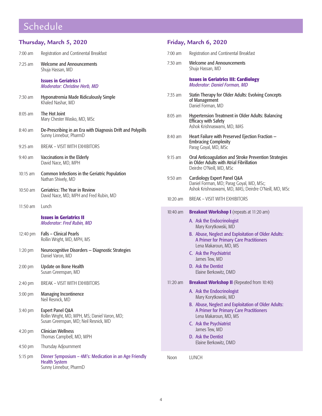## Schedule

| Thursday, March 5, 2020 |                                                                                                                       | Friday, March 6, 2020 |                                                                                                                               |  |
|-------------------------|-----------------------------------------------------------------------------------------------------------------------|-----------------------|-------------------------------------------------------------------------------------------------------------------------------|--|
| $7:00$ am               | Registration and Continental Breakfast                                                                                | $7:00$ am             | Registration and Continental Breakfast                                                                                        |  |
| $7:25$ am               | <b>Welcome and Announcements</b><br>Shuja Hassan, MD                                                                  | 7:30 am               | <b>Welcome and Announcements</b><br>Shuja Hassan, MD                                                                          |  |
|                         | <b>Issues in Geriatrics I</b><br><b>Moderator: Christine Herb, MD</b>                                                 |                       | <b>Issues in Geriatrics III: Cardiology</b><br><b>Moderator: Daniel Forman, MD</b>                                            |  |
| $7:30$ am               | Hyponatremia Made Ridiculously Simple<br>Khaled Nashar, MD                                                            | $7:35$ am             | <b>Statin Therapy for Older Adults: Evolving Concepts</b><br>of Management<br>Daniel Forman, MD                               |  |
| 8:05 am                 | The Hot Joint<br>Mary Chester Wasko, MD, MSc                                                                          | 8:05 am               | <b>Hypertension Treatment in Older Adults: Balancing</b><br><b>Efficacy with Safety</b>                                       |  |
| $8:40$ am               | De-Prescribing in an Era with Diagnosis Drift and Polypills<br>Sunny Linnebur, PharmD                                 | 8:40 am               | Ashok Krishnaswami, MD, MAS<br>Heart Failure with Preserved Ejection Fraction -                                               |  |
| $9:25$ am               | <b>BREAK - VISIT WITH EXHIBITORS</b>                                                                                  |                       | <b>Embracing Complexity</b><br>Parag Goyal, MD, MSc                                                                           |  |
| $9:40$ am               | Vaccinations in the Elderly<br>David Nace, MD, MPH                                                                    | $9:15$ am             | Oral Anticoagulation and Stroke Prevention Strategies<br>in Older Adults with Atrial Fibrillation<br>Deirdre O'Neill, MD, MSc |  |
| $10:15$ am              | Common Infections in the Geriatric Population<br>Nathan Shively, MD                                                   | $9:50$ am             | Cardiology Expert Panel Q&A<br>Daniel Forman, MD; Parag Goyal, MD, MSc;                                                       |  |
| 10:50 am                | <b>Geriatrics: The Year in Review</b><br>David Nace, MD, MPH and Fred Rubin, MD                                       | $10:20$ am            | Ashok Krishnaswami, MD, MAS; Deirdre O'Neill, MD, MSc<br><b>BREAK - VISIT WITH EXHIBITORS</b>                                 |  |
| $11:50$ am              | Lunch                                                                                                                 | 10:40 am              | <b>Breakout Workshop I</b> (repeats at 11:20 am)                                                                              |  |
|                         | <b>Issues in Geriatrics II</b><br><b>Moderator: Fred Rubin, MD</b>                                                    |                       | A. Ask the Endocrinologist<br>Mary Korytkowski, MD                                                                            |  |
| 12:40 pm                | <b>Falls - Clinical Pearls</b><br>Rollin Wright, MD, MPH, MS                                                          |                       | B. Abuse, Neglect and Exploitation of Older Adults:<br>A Primer for Primary Care Practitioners<br>Lena Makaroun, MD, MS       |  |
| $1:20$ pm               | Neurocognitive Disorders - Diagnostic Strategies<br>Daniel Varon, MD                                                  |                       | C. Ask the Psychiatrist<br>James Tew, MD                                                                                      |  |
| $2:00$ pm               | Update on Bone Health<br>Susan Greenspan, MD                                                                          |                       | D. Ask the Dentist<br>Elaine Berkowitz, DMD                                                                                   |  |
| 2:40 pm                 | <b>BREAK - VISIT WITH EXHIBITORS</b>                                                                                  | $11:20$ am            | <b>Breakout Workshop II</b> (Repeated from 10:40)                                                                             |  |
| 3:00 pm                 | Managing Incontinence<br>Neil Resnick, MD                                                                             |                       | A. Ask the Endocrinologist<br>Mary Korytkowski, MD                                                                            |  |
| 3:40 pm                 | <b>Expert Panel Q&amp;A</b><br>Rollin Wright, MD, MPH, MS; Daniel Varon, MD;<br>Susan Greenspan, MD; Neil Resnick, MD |                       | B. Abuse, Neglect and Exploitation of Older Adults:<br>A Primer for Primary Care Practitioners<br>Lena Makaroun, MD, MS       |  |
| 4:20 pm                 | <b>Clinician Wellness</b><br>Thomas Campbell, MD, MPH                                                                 |                       | C. Ask the Psychiatrist<br>James Tew, MD<br>D. Ask the Dentist                                                                |  |
| 4:50 pm                 | Thursday Adjournment                                                                                                  |                       | Elaine Berkowitz, DMD                                                                                                         |  |
| 5:15 pm                 | Dinner Symposium - 4M's: Medication in an Age Friendly<br><b>Health System</b><br>Sunny Linnebur, PharmD              | Noon                  | LUNCH                                                                                                                         |  |

**Friday, March 6, 2020**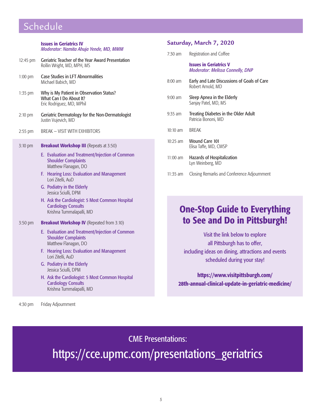## Schedule

|           | <b>Issues in Geriatrics IV</b><br>Moderator: Namita Ahuja Yende, MD, MMM                                                                                                                                                                                                                                                                              |  |
|-----------|-------------------------------------------------------------------------------------------------------------------------------------------------------------------------------------------------------------------------------------------------------------------------------------------------------------------------------------------------------|--|
| 12:45 pm  | <b>Geriatric Teacher of the Year Award Presentation</b><br>Rollin Wright, MD, MPH, MS                                                                                                                                                                                                                                                                 |  |
| $1:00$ pm | <b>Case Studies in LFT Abnormalities</b><br>Michael Babich, MD                                                                                                                                                                                                                                                                                        |  |
| 1:35 pm   | Why is My Patient in Observation Status?<br>What Can I Do About It?<br>Eric Rodriguez, MD, MPhil                                                                                                                                                                                                                                                      |  |
| $2:10$ pm | Geriatric Dermatology for the Non-Dermatologist<br>Justin Vujevich, MD                                                                                                                                                                                                                                                                                |  |
| 2:55 pm   | <b>BREAK - VISIT WITH EXHIBITORS</b>                                                                                                                                                                                                                                                                                                                  |  |
| 3:10 pm   | <b>Breakout Workshop III</b> (Repeats at 3:50)                                                                                                                                                                                                                                                                                                        |  |
|           | E. Evaluation and Treatment/Injection of Common<br><b>Shoulder Complaints</b><br>Matthew Flanagan, DO<br><b>Hearing Loss: Evaluation and Management</b><br>F.<br>Lori Zitelli, AuD<br>G. Podiatry in the Elderly<br>Jessica Sciulli, DPM<br>H. Ask the Cardiologist: 5 Most Common Hospital<br><b>Cardiology Consults</b><br>Krishna Tummalapalli, MD |  |
| 3:50 pm   | <b>Breakout Workshop IV</b> (Repeated from 3:10)                                                                                                                                                                                                                                                                                                      |  |
|           | E. Evaluation and Treatment/Injection of Common<br><b>Shoulder Complaints</b><br>Matthew Flanagan, DO                                                                                                                                                                                                                                                 |  |
|           | <b>Hearing Loss: Evaluation and Management</b><br>F.<br>Lori Zitelli, AuD                                                                                                                                                                                                                                                                             |  |
|           | G. Podiatry in the Elderly<br>Jessica Sciulli, DPM                                                                                                                                                                                                                                                                                                    |  |
|           | H. Ask the Cardiologist: 5 Most Common Hospital<br><b>Cardiology Consults</b><br>Krishna Tummalapalli, MD                                                                                                                                                                                                                                             |  |

#### **Saturday, March 7, 2020**

| $7:30$ am | Registration and Coffee |  |  |
|-----------|-------------------------|--|--|
|-----------|-------------------------|--|--|

#### **Issues in Geriatrics V** *Moderator: Melissa Connelly, DNP*

- 8:00 am Early and Late Discussions of Goals of Care Robert Arnold, MD
- 9:00 am Sleep Apnea in the Elderly Sanjay Patel, MD, MS
- 9:35 am Treating Diabetes in the Older Adult Patricia Bononi, MD
- 10:10 am BREAK
- 10:25 am Wound Care 101 Elisa Taffe, MD, CWSP
- 11:00 am Hazards of Hospitalization Lyn Weinberg, MD
- 11:35 am Closing Remarks and Conference Adjournment

## **One-Stop Guide to Everything to See and Do in Pittsburgh!**

Visit the link below to explore all Pittsburgh has to offer, including ideas on dining, attractions and events scheduled during your stay!

**https://www.visitpittsburgh.com/ 28th-annual-clinical-update-in-geriatric-medicine/**

4:30 pm Friday Adjournment

CME Presentations:

https://cce.upmc.com/presentations\_geriatrics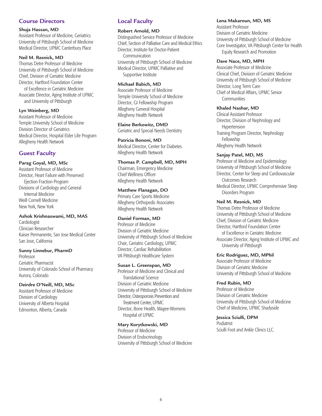#### **Course Directors**

#### **Shuja Hassan, MD**

Assistant Professor of Medicine, Geriatrics University of Pittsburgh School of Medicine Medical Director, UPMC Canterbury Place

#### **Neil M. Resnick, MD**

Thomas Detre Professor of Medicine University of Pittsburgh School of Medicine Chief, Division of Geriatric Medicine Director, Hartford Foundation Center of Excellence in Geriatric Medicine Associate Director, Aging Institute of UPMC and University of Pittsburgh

#### **Lyn Weinberg, MD**

Assistant Professor of Medicine Temple University School of Medicine Division Director of Geriatrics Medical Director, Hospital Elder Life Program Allegheny Health Network

#### **Guest Faculty**

#### **Parag Goyal, MD, MSc**

Assistant Professor of Medicine Director, Heart Failure with Preserved Ejection Fraction Program Divisions of Cardiology and General Internal Medicine Weill Cornell Medicine New York, New York

#### **Ashok Krishnaswami, MD, MAS**

Cardiologist Clinician Researcher Kaiser Permanente, San Jose Medical Center San Jose, California

#### **Sunny Linnebur, PharmD**

Professor Geriatric Pharmacist University of Colorado School of Pharmacy Aurora, Colorado

#### **Deirdre O'Neill, MD, MSc**

Assistant Professor of Medicine Division of Cardiology University of Alberta Hospital Edmonton, Alberta, Canada

#### **Local Faculty**

#### **Robert Arnold, MD**

Distinguished Service Professor of Medicine Chief, Section of Palliative Care and Medical Ethics Director, Institute for Doctor-Patient **Communication** University of Pittsburgh School of Medicine Medical Director, UPMC Palliative and Supportive Institute

#### **Michael Babich, MD**

Associate Professor of Medicine Temple University School of Medicine Director, GI Fellowship Program Allegheny General Hospital Allegheny Health Network

#### **Elaine Berkowitz, DMD**

Geriatric and Special Needs Dentistry

**Patricia Bononi, MD** Medical Director, Center for Diabetes Allegheny Health Network

#### **Thomas P. Campbell, MD, MPH**

Chairman, Emergency Medicine Chief Wellness Officer Allegheny Health Network

#### **Matthew Flanagan, DO**

Primary Care Sports Medicine Allegheny Orthopedic Associates Allegheny Health Network

#### **Daniel Forman, MD**

Professor of Medicine Division of Geriatric Medicine University of Pittsburgh School of Medicine Chair, Geriatric Cardiology, UPMC Director, Cardiac Rehabilitation VA Pittsburgh Healthcare System

#### **Susan L. Greenspan, MD**

Professor of Medicine and Clinical and Translational Science Division of Geriatric Medicine University of Pittsburgh School of Medicine Director, Osteoporosis Prevention and Treatment Center, UPMC Director, Bone Health, Magee-Womens Hospital of UPMC

#### **Mary Korytkowski, MD**

Professor of Medicine Division of Endocrinology University of Pittsburgh School of Medicine

#### **Lena Makaroun, MD, MS**

Assistant Professor Division of Geriatric Medicine University of Pittsburgh School of Medicine Core Investigator, VA Pittsburgh Center for Health Equity Research and Promotion

#### **Dave Nace, MD, MPH**

Associate Professor of Medicine Clinical Chief, Division of Geriatric Medicine University of Pittsburgh School of Medicine Director, Long Term Care Chief of Medical Affairs, UPMC Senior **Communities** 

#### **Khaled Nashar, MD**

Clinical Assistant Professor Director, Division of Nephrology and Hypertension Training Program Director, Nephrology Fellowship Allegheny Health Network

#### **Sanjay Patel, MD, MS**

Professor of Medicine and Epidemiology University of Pittsburgh School of Medicine Director, Center for Sleep and Cardiovascular Outcomes Research Medical Director, UPMC Comprehensive Sleep Disorders Program

#### **Neil M. Resnick, MD**

Thomas Detre Professor of Medicine University of Pittsburgh School of Medicine Chief, Division of Geriatric Medicine Director, Hartford Foundation Center of Excellence in Geriatric Medicine Associate Director, Aging Institute of UPMC and University of Pittsburgh

#### **Eric Rodriguez, MD, MPhil**

Associate Professor of Medicine Division of Geriatric Medicine University of Pittsburgh School of Medicine

#### **Fred Rubin, MD**

Professor of Medicine Division of Geriatric Medicine University of Pittsburgh School of Medicine Chief of Medicine, UPMC Shadyside

#### **Jessica Sciulli, DPM**

Podiatrist Sciulli Foot and Ankle Clinics LLC.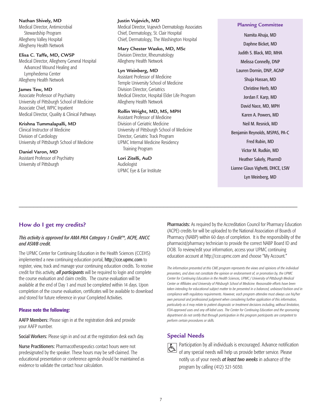#### **Nathan Shively, MD**

Medical Director, Antimicrobial Stewardship Program Allegheny Valley Hospital Allegheny Health Network

#### **Elisa C. Taffe, MD, CWSP**

Medical Director, Allegheny General Hospital Advanced Wound Healing and Lymphedema Center Allegheny Health Network

#### **James Tew, MD**

Associate Professor of Psychiatry University of Pittsburgh School of Medicine Associate Chief, WPIC Inpatient Medical Director, Quality & Clinical Pathways

#### **Krishna Tummalapalli, MD**

Clinical Instructor of Medicine Division of Cardiology University of Pittsburgh School of Medicine

#### **Daniel Varon, MD**

Assistant Professor of Psychiatry University of Pittsburgh

#### **Justin Vujevich, MD**

Medical Director, Vujevich Dermatology Associates Chief, Dermatology, St. Clair Hospital Chief, Dermatology, The Washington Hospital

#### **Mary Chester Wasko, MD, MSc**

Division Director, Rheumatology Allegheny Health Network

#### **Lyn Weinberg, MD**

Assistant Professor of Medicine Temple University School of Medicine Division Director, Geriatrics Medical Director, Hospital Elder Life Program Allegheny Health Network

#### **Rollin Wright, MD, MS, MPH**

Assistant Professor of Medicine Division of Geriatric Medicine University of Pittsburgh School of Medicine Director, Geriatric Track Program UPMC Internal Medicine Residency Training Program

\_\_\_\_\_\_\_\_\_\_\_\_\_\_\_\_\_\_\_\_\_\_\_\_\_\_\_\_\_\_\_\_\_\_\_\_\_\_\_\_\_\_\_\_\_\_\_\_\_\_\_\_\_\_\_\_\_\_\_\_\_\_\_\_\_\_\_\_\_\_\_\_\_\_\_\_\_

**Lori Zitelli, AuD** Audiologist UPMC Eye & Ear Institute

#### **Planning Committee** Namita Ahuja, MD Daphne Bicket, MD Judith S. Black, MD, MHA Melissa Connelly, DNP Lauren Dornin, DNP, AGNP Shuja Hassan, MD Christine Herb, MD Jordan F. Karp, MD David Nace, MD, MPH Karen A. Powers, MD Neil M. Resnick, MD Benjamin Reynolds, MSPAS, PA-C Fred Rubin, MD Victor M. Rudkin, MD Heather Sakely, PharmD Lianne Glaus Vighetti, DHCE, LSW Lyn Weinberg, MD

#### **How do I get my credits?**

#### *This activity is approved for AMA PRA Category 1 Credit™, ACPE, ANCC and ASWB credit.*

The UPMC Center for Continuing Education in the Health Sciences (CCEHS) implemented a new continuing education portal, http://cce.upmc.com to register, view, track and manage your continuing education credits. To receive credit for this activity, *all participants* will be required to login and complete the course evaluation and claim credits. The course evaluation will be available at the end of Day 1 and must be completed within 14 days. Upon completion of the course evaluation, certificates will be available to download and stored for future reference in your Completed Activities.

#### **Please note the following:**

AAFP Members: Please sign in at the registration desk and provide your AAFP number.

Social Workers: Please sign in and out at the registration desk each day.

Nurse Practitioners: Pharmacotherapeutics contact hours were not predesignated by the speaker. These hours may be self-claimed. The educational presentation or conference agenda should be maintained as evidence to validate the contact hour calculation.

**Pharmacists:** As required by the Accreditation Council for Pharmacy Education (ACPE) credits for will be uploaded to the National Association of Boards of Pharmacy (NABP) within 60 days of completion. It is the responsibility of the pharmacist/pharmacy technician to provide the correct NABP Board ID and DOB. To review/edit your information, access your UPMC continuing education account at http://cce.upmc.com and choose "My Account."

*The information presented at this CME program represents the views and opinions of the individual presenters, and does not constitute the opinion or endorsement of, or promotion by, the UPMC Center for Continuing Education in the Health Sciences, UPMC / University of Pittsburgh Medical Center or Affiliates and University of Pittsburgh School of Medicine. Reasonable efforts have been taken intending for educational subject matter to be presented in a balanced, unbiased fashion and in compliance with regulatory requirements. However, each program attendee must always use his/her own personal and professional judgment when considering further application of this information, particularly as it may relate to patient diagnostic or treatment decisions including, without limitation, FDA-approved uses and any off-label uses. The Center for Continuing Education and the sponsoring department do not certify that through participation in this program participants are competent to perform certain procedures or skills.*

#### **Special Needs**

 $\overline{\mathfrak{b}}$ 

Participation by all individuals is encouraged. Advance notification of any special needs will help us provide better service. Please notify us of your needs *at least two weeks* in advance of the program by calling (412) 321-5030.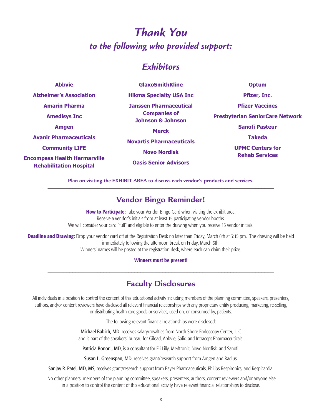## *Thank You to the following who provided support:*

## *Exhibitors*

| <b>Abbyie</b>                                                         | <b>GlaxoSmithKline</b>                              | <b>Optum</b>                                     |  |
|-----------------------------------------------------------------------|-----------------------------------------------------|--------------------------------------------------|--|
| <b>Alzheimer's Association</b>                                        | <b>Hikma Specialty USA Inc</b>                      | Pfizer, Inc.                                     |  |
| <b>Amarin Pharma</b>                                                  | <b>Janssen Pharmaceutical</b>                       | <b>Pfizer Vaccines</b>                           |  |
| <b>Amedisys Inc</b>                                                   | <b>Companies of</b><br><b>Johnson &amp; Johnson</b> | <b>Presbyterian SeniorCare Network</b>           |  |
| <b>Amgen</b>                                                          | <b>Merck</b>                                        | <b>Sanofi Pasteur</b>                            |  |
| <b>Avanir Pharmaceuticals</b>                                         | <b>Novartis Pharmaceuticals</b>                     | <b>Takeda</b>                                    |  |
| <b>Community LIFE</b>                                                 | <b>Novo Nordisk</b>                                 | <b>UPMC Centers for</b><br><b>Rehab Services</b> |  |
| <b>Encompass Health Harmarville</b><br><b>Rehabilitation Hospital</b> | <b>Oasis Senior Advisors</b>                        |                                                  |  |

**Plan on visiting the EXHIBIT AREA to discuss each vendor's products and services.** \_\_\_\_\_\_\_\_\_\_\_\_\_\_\_\_\_\_\_\_\_\_\_\_\_\_\_\_\_\_\_\_\_\_\_\_\_\_\_\_\_\_\_\_\_\_\_\_\_\_\_\_\_\_\_\_\_\_\_\_\_\_\_\_\_\_\_\_\_\_\_\_\_

#### **Vendor Bingo Reminder!**

**How to Participate:** Take your Vendor Bingo Card when visiting the exhibit area. Receive a vendor's initials from at least 15 participating vendor booths. We will consider your card "full" and eligible to enter the drawing when you receive 15 vendor initials.

**Deadline and Drawing:** Drop your vendor card off at the Registration Desk no later than Friday, March 6th at 3:15 pm. The drawing will be held immediately following the afternoon break on Friday, March 6th.

Winners' names will be posted at the registration desk, where each can claim their prize.

#### **Winners must be present!** \_\_\_\_\_\_\_\_\_\_\_\_\_\_\_\_\_\_\_\_\_\_\_\_\_\_\_\_\_\_\_\_\_\_\_\_\_\_\_\_\_\_\_\_\_\_\_\_\_\_\_\_\_\_\_\_\_\_\_\_\_\_\_\_\_\_\_\_\_\_\_\_\_

#### **Faculty Disclosures**

All individuals in a position to control the content of this educational activity including members of the planning committee, speakers, presenters, authors, and/or content reviewers have disclosed all relevant financial relationships with any proprietary entity producing, marketing, re-selling, or distributing health care goods or services, used on, or consumed by, patients.

The following relevant financial relationships were disclosed:

Michael Babich, MD, receives salary/royalties from North Shore Endoscopy Center, LLC and is part of the speakers' bureau for Gilead, Abbvie, Salix, and Intracept Pharmaceuticals.

Patricia Bononi, MD, is a consultant for Eli Lilly, Medtronic, Novo Nordisk, and Sanofi.

Susan L. Greenspan, MD, receives grant/research support from Amgen and Radius.

Sanjay R. Patel, MD, MS, receives grant/research support from Bayer Pharmaceuticals, Philips Respironics, and Respicardia.

No other planners, members of the planning committee, speakers, presenters, authors, content reviewers and/or anyone else in a position to control the content of this educational activity have relevant financial relationships to disclose.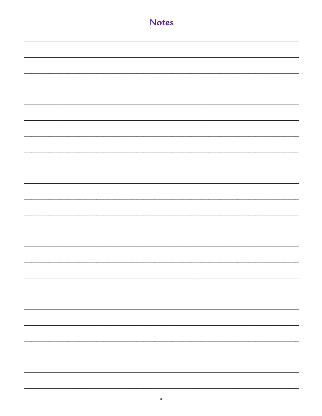| <b>Notes</b> |
|--------------|
|              |
|              |
|              |
|              |
|              |
|              |
|              |
|              |
|              |
|              |
|              |
|              |
|              |
|              |
|              |
|              |
|              |
|              |
|              |
|              |
|              |
|              |
|              |
|              |
|              |
|              |
|              |
|              |
|              |
|              |
|              |
|              |
|              |
|              |
|              |
|              |
|              |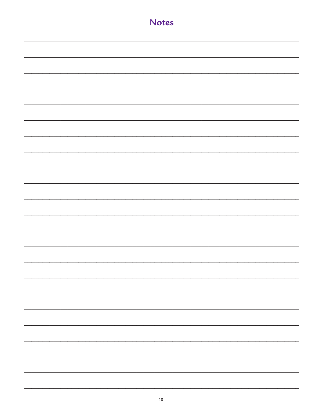| <b>Notes</b> |
|--------------|
|              |
|              |
|              |
|              |
|              |
|              |
|              |
|              |
|              |
|              |
|              |
|              |
|              |
|              |
|              |
|              |
|              |
|              |
|              |
|              |
|              |
|              |
|              |
|              |
|              |
|              |
|              |
|              |
|              |
|              |
|              |
|              |
|              |
|              |
|              |
|              |
|              |
|              |
|              |
|              |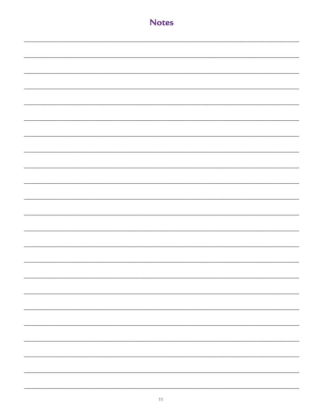| <b>Notes</b> |
|--------------|
|              |
|              |
|              |
|              |
|              |
|              |
|              |
|              |
|              |
|              |
|              |
|              |
|              |
|              |
|              |
|              |
|              |
|              |
|              |
|              |
|              |
|              |
|              |
|              |
|              |
|              |
|              |
| -            |
| -            |
|              |
| -            |
|              |
|              |
| Ξ.           |
|              |
| -            |